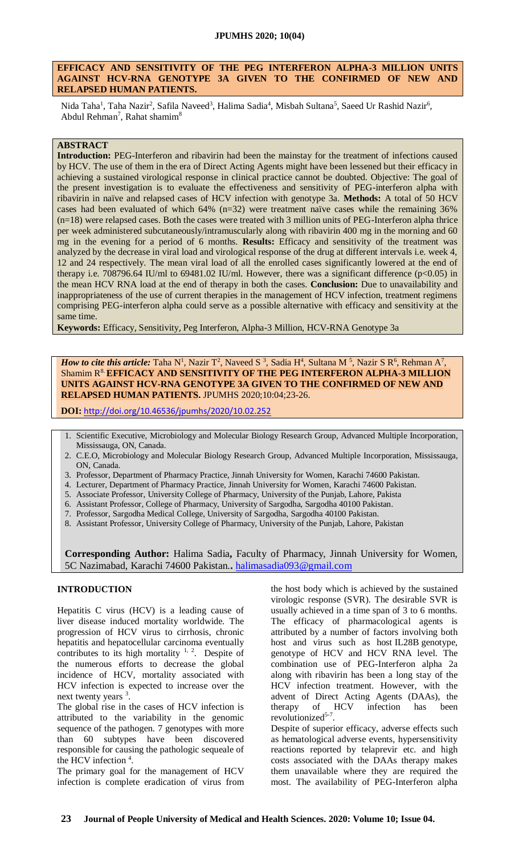#### **EFFICACY AND SENSITIVITY OF THE PEG INTERFERON ALPHA-3 MILLION UNITS AGAINST HCV-RNA GENOTYPE 3A GIVEN TO THE CONFIRMED OF NEW AND RELAPSED HUMAN PATIENTS.**

Nida Taha<sup>1</sup>, Taha Nazir<sup>2</sup>, Safila Naveed<sup>3</sup>, Halima Sadia<sup>4</sup>, Misbah Sultana<sup>5</sup>, Saeed Ur Rashid Nazir<sup>6</sup>, Abdul Rehman<sup>7</sup>, Rahat shamim<sup>8</sup>

#### **ABSTRACT**

**Introduction:** PEG-Interferon and ribavirin had been the mainstay for the treatment of infections caused by HCV. The use of them in the era of Direct Acting Agents might have been lessened but their efficacy in achieving a sustained virological response in clinical practice cannot be doubted. Objective: The goal of the present investigation is to evaluate the effectiveness and sensitivity of PEG-interferon alpha with ribavirin in naïve and relapsed cases of HCV infection with genotype 3a. **Methods:** A total of 50 HCV cases had been evaluated of which 64% (n=32) were treatment naïve cases while the remaining 36% (n=18) were relapsed cases. Both the cases were treated with 3 million units of PEG-Interferon alpha thrice per week administered subcutaneously/intramuscularly along with ribavirin 400 mg in the morning and 60 mg in the evening for a period of 6 months. **Results:** Efficacy and sensitivity of the treatment was analyzed by the decrease in viral load and virological response of the drug at different intervals i.e. week 4, 12 and 24 respectively. The mean viral load of all the enrolled cases significantly lowered at the end of therapy i.e. 708796.64 IU/ml to 69481.02 IU/ml. However, there was a significant difference ( $p<0.05$ ) in the mean HCV RNA load at the end of therapy in both the cases. **Conclusion:** Due to unavailability and inappropriateness of the use of current therapies in the management of HCV infection, treatment regimens comprising PEG-interferon alpha could serve as a possible alternative with efficacy and sensitivity at the same time.

**Keywords:** Efficacy, Sensitivity, Peg Interferon, Alpha-3 Million, HCV-RNA Genotype 3a

*How to cite this article:* Taha N<sup>1</sup>, Nazir T<sup>2</sup>, Naveed S <sup>3</sup>, Sadia H<sup>4</sup>, Sultana M <sup>5</sup>, Nazir S R<sup>6</sup>, Rehman A<sup>7</sup> , Shamim R8. **EFFICACY AND SENSITIVITY OF THE PEG INTERFERON ALPHA-3 MILLION UNITS AGAINST HCV-RNA GENOTYPE 3A GIVEN TO THE CONFIRMED OF NEW AND RELAPSED HUMAN PATIENTS.** JPUMHS 2020;10:04;23-26.

**DOI:** <http://doi.org/10.46536/jpumhs/2020/10.02.252>

- 1. Scientific Executive, Microbiology and Molecular Biology Research Group, Advanced Multiple Incorporation, Mississauga, ON, Canada.
- 2. C.E.O, Microbiology and Molecular Biology Research Group, Advanced Multiple Incorporation, Mississauga, ON, Canada.
- 3. Professor, Department of Pharmacy Practice, Jinnah University for Women, Karachi 74600 Pakistan.
- 4. Lecturer, Department of Pharmacy Practice, Jinnah University for Women, Karachi 74600 Pakistan.
- 5. Associate Professor, University College of Pharmacy, University of the Punjab, Lahore, Pakista
- 6. Assistant Professor, College of Pharmacy, University of Sargodha, Sargodha 40100 Pakistan.
- 7. Professor, Sargodha Medical College, University of Sargodha, Sargodha 40100 Pakistan.
- 8. Assistant Professor, University College of Pharmacy, University of the Punjab, Lahore, Pakistan

**Corresponding Author:** Halima Sadia**,** Faculty of Pharmacy, Jinnah University for Women, 5C Nazimabad, Karachi 74600 Pakistan.**.** [halimasadia093@gmail.com](mailto:halimasadia093@gmail.com)

# **INTRODUCTION**

Hepatitis C virus (HCV) is a leading cause of liver disease induced mortality worldwide. The progression of HCV virus to cirrhosis, chronic hepatitis and hepatocellular carcinoma eventually contributes to its high mortality  $1, 2$ . Despite of the numerous efforts to decrease the global incidence of HCV, mortality associated with HCV infection is expected to increase over the next twenty years <sup>3</sup>.

The global rise in the cases of HCV infection is attributed to the variability in the genomic sequence of the pathogen. 7 genotypes with more than 60 subtypes have been discovered responsible for causing the pathologic sequeale of the HCV infection<sup>4</sup>.

The primary goal for the management of HCV infection is complete eradication of virus from the host body which is achieved by the sustained virologic response (SVR). The desirable SVR is usually achieved in a time span of 3 to 6 months. The efficacy of pharmacological agents is attributed by a number of factors involving both host and virus such as host IL28B genotype, genotype of HCV and HCV RNA level. The combination use of PEG-Interferon alpha 2a along with ribavirin has been a long stay of the HCV infection treatment. However, with the advent of Direct Acting Agents (DAAs), the therapy of HCV infection has been revolutionized<sup>5-7</sup>.

Despite of superior efficacy, adverse effects such as hematological adverse events, hypersensitivity reactions reported by telaprevir etc. and high costs associated with the DAAs therapy makes them unavailable where they are required the most. The availability of PEG-Interferon alpha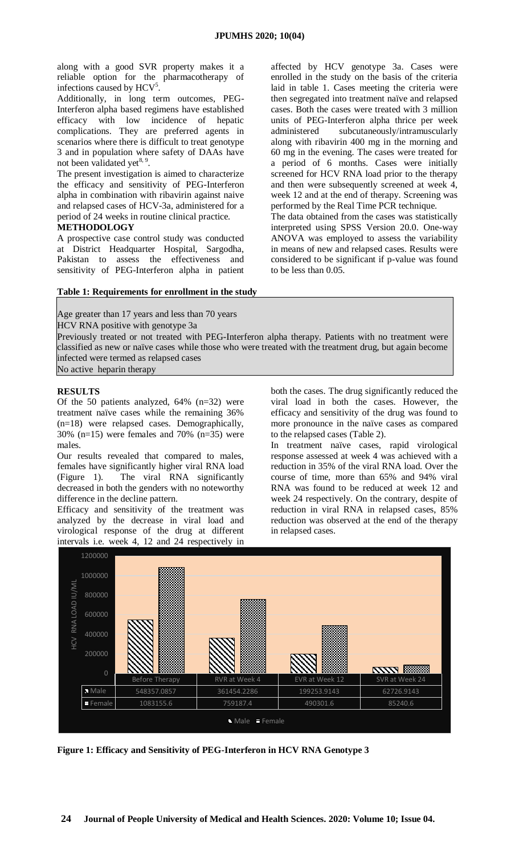along with a good SVR property makes it a reliable option for the pharmacotherapy of infections caused by HCV<sup>5</sup>.

Additionally, in long term outcomes, PEG-Interferon alpha based regimens have established efficacy with low incidence of hepatic complications. They are preferred agents in scenarios where there is difficult to treat genotype 3 and in population where safety of DAAs have not been validated yet<sup>8, 9</sup>.

The present investigation is aimed to characterize the efficacy and sensitivity of PEG-Interferon alpha in combination with ribavirin against naive and relapsed cases of HCV-3a, administered for a period of 24 weeks in routine clinical practice.

**METHODOLOGY**

A prospective case control study was conducted at District Headquarter Hospital, Sargodha, Pakistan to assess the effectiveness and sensitivity of PEG-Interferon alpha in patient affected by HCV genotype 3a. Cases were enrolled in the study on the basis of the criteria laid in table 1. Cases meeting the criteria were then segregated into treatment naïve and relapsed cases. Both the cases were treated with 3 million units of PEG-Interferon alpha thrice per week administered subcutaneously/intramuscularly along with ribavirin 400 mg in the morning and 60 mg in the evening. The cases were treated for a period of 6 months. Cases were initially screened for HCV RNA load prior to the therapy and then were subsequently screened at week 4, week 12 and at the end of therapy. Screening was performed by the Real Time PCR technique.

The data obtained from the cases was statistically interpreted using SPSS Version 20.0. One-way ANOVA was employed to assess the variability in means of new and relapsed cases. Results were considered to be significant if p-value was found to be less than 0.05.

# **Table 1: Requirements for enrollment in the study**

Age greater than 17 years and less than 70 years

HCV RNA positive with genotype 3a

 Previously treated or not treated with PEG-Interferon alpha therapy. Patients with no treatment were classified as new or naïve cases while those who were treated with the treatment drug, but again become infected were termed as relapsed cases No active heparin therapy

# **RESULTS**

Of the 50 patients analyzed, 64% (n=32) were treatment naïve cases while the remaining 36% (n=18) were relapsed cases. Demographically, 30% (n=15) were females and 70% (n=35) were males.

Our results revealed that compared to males, females have significantly higher viral RNA load (Figure 1). The viral RNA significantly decreased in both the genders with no noteworthy difference in the decline pattern.

Efficacy and sensitivity of the treatment was analyzed by the decrease in viral load and virological response of the drug at different intervals i.e. week 4, 12 and 24 respectively in

both the cases. The drug significantly reduced the viral load in both the cases. However, the efficacy and sensitivity of the drug was found to more pronounce in the naïve cases as compared to the relapsed cases (Table 2).

In treatment naïve cases, rapid virological response assessed at week 4 was achieved with a reduction in 35% of the viral RNA load. Over the course of time, more than 65% and 94% viral RNA was found to be reduced at week 12 and week 24 respectively. On the contrary, despite of reduction in viral RNA in relapsed cases, 85% reduction was observed at the end of the therapy in relapsed cases.



**Figure 1: Efficacy and Sensitivity of PEG-Interferon in HCV RNA Genotype 3**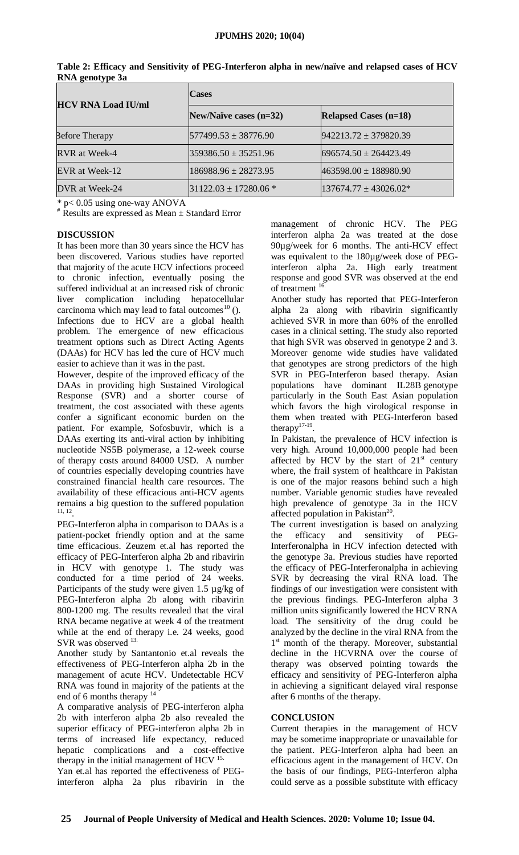| <b>HCV RNA Load IU/ml</b> | <b>Cases</b>               |                              |
|---------------------------|----------------------------|------------------------------|
|                           | New/Naïve cases $(n=32)$   | <b>Relapsed Cases (n=18)</b> |
| <b>Before Therapy</b>     | $ 577499.53 \pm 38776.90$  | $942213.72 \pm 379820.39$    |
| RVR at Week-4             | $359386.50 \pm 35251.96$   | $696574.50 \pm 264423.49$    |
| EVR at Week-12            | 186988.96 ± 28273.95       | $463598.00 \pm 188980.90$    |
| DVR at Week-24            | $131122.03 \pm 17280.06$ * | $137674.77 \pm 43026.02*$    |

| Table 2: Efficacy and Sensitivity of PEG-Interferon alpha in new/naïve and relapsed cases of HCV |  |
|--------------------------------------------------------------------------------------------------|--|
| RNA genotype 3a                                                                                  |  |

\* p< 0.05 using one-way ANOVA

# Results are expressed as Mean ± Standard Error

#### **DISCUSSION**

It has been more than 30 years since the HCV has been discovered. Various studies have reported that majority of the acute HCV infections proceed to chronic infection, eventually posing the suffered individual at an increased risk of chronic liver complication including hepatocellular carcinoma which may lead to fatal outcomes<sup>10</sup>  $($ ). Infections due to HCV are a global health problem. The emergence of new efficacious treatment options such as Direct Acting Agents (DAAs) for HCV has led the cure of HCV much easier to achieve than it was in the past.

However, despite of the improved efficacy of the DAAs in providing high Sustained Virological Response (SVR) and a shorter course of treatment, the cost associated with these agents confer a significant economic burden on the patient. For example, Sofosbuvir, which is a DAAs exerting its anti-viral action by inhibiting nucleotide NS5B polymerase, a 12-week course of therapy costs around 84000 USD. A number of countries especially developing countries have constrained financial health care resources. The availability of these efficacious anti-HCV agents remains a big question to the suffered population 11, 12 .

PEG-Interferon alpha in comparison to DAAs is a patient-pocket friendly option and at the same time efficacious. Zeuzem et.al has reported the efficacy of PEG-Interferon alpha 2b and ribavirin in HCV with genotype 1. The study was conducted for a time period of 24 weeks. Participants of the study were given 1.5 µg/kg of PEG-Interferon alpha 2b along with ribavirin 800-1200 mg. The results revealed that the viral RNA became negative at week 4 of the treatment while at the end of therapy i.e. 24 weeks, good SVR was observed <sup>13.</sup>

Another study by Santantonio et.al reveals the effectiveness of PEG-Interferon alpha 2b in the management of acute HCV. Undetectable HCV RNA was found in majority of the patients at the end of 6 months therapy <sup>14</sup>

A comparative analysis of PEG-interferon alpha 2b with interferon alpha 2b also revealed the superior efficacy of PEG-interferon alpha 2b in terms of increased life expectancy, reduced hepatic complications and a cost-effective therapy in the initial management of HCV  $15$ .

Yan et.al has reported the effectiveness of PEGinterferon alpha 2a plus ribavirin in the management of chronic HCV. The PEG interferon alpha 2a was treated at the dose 90µg/week for 6 months. The anti-HCV effect was equivalent to the 180µg/week dose of PEGinterferon alpha 2a. High early treatment response and good SVR was observed at the end of treatment <sup>16</sup>

Another study has reported that PEG-Interferon alpha 2a along with ribavirin significantly achieved SVR in more than 60% of the enrolled cases in a clinical setting. The study also reported that high SVR was observed in genotype 2 and 3. Moreover genome wide studies have validated that genotypes are strong predictors of the high SVR in PEG-Interferon based therapy. Asian populations have dominant IL28B genotype particularly in the South East Asian population which favors the high virological response in them when treated with PEG-Interferon based therapy $17-19$ .

In Pakistan, the prevalence of HCV infection is very high. Around 10,000,000 people had been affected by HCV by the start of  $21<sup>st</sup>$  century where, the frail system of healthcare in Pakistan is one of the major reasons behind such a high number. Variable genomic studies have revealed high prevalence of genotype 3a in the HCV affected population in Pakistan<sup>20</sup>.

The current investigation is based on analyzing the efficacy and sensitivity of PEG-Interferonalpha in HCV infection detected with the genotype 3a. Previous studies have reported the efficacy of PEG-Interferonalpha in achieving SVR by decreasing the viral RNA load. The findings of our investigation were consistent with the previous findings. PEG-Interferon alpha 3 million units significantly lowered the HCV RNA load. The sensitivity of the drug could be analyzed by the decline in the viral RNA from the 1<sup>st</sup> month of the therapy. Moreover, substantial decline in the HCVRNA over the course of therapy was observed pointing towards the efficacy and sensitivity of PEG-Interferon alpha in achieving a significant delayed viral response after 6 months of the therapy.

# **CONCLUSION**

Current therapies in the management of HCV may be sometime inappropriate or unavailable for the patient. PEG-Interferon alpha had been an efficacious agent in the management of HCV. On the basis of our findings, PEG-Interferon alpha could serve as a possible substitute with efficacy